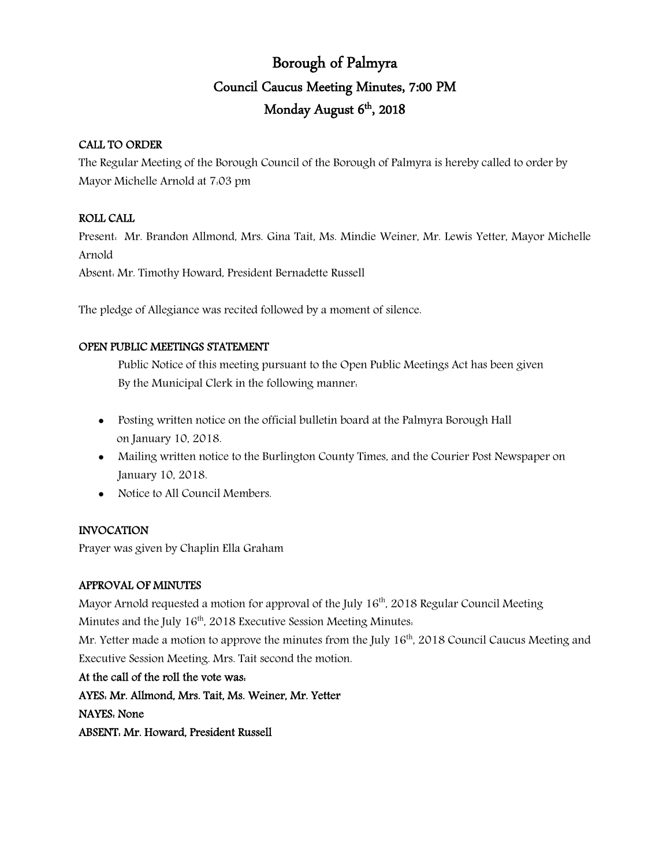# Borough of Palmyra Council Caucus Meeting Minutes, 7:00 PM Monday August 6<sup>th</sup>, 2018

## CALL TO ORDER

The Regular Meeting of the Borough Council of the Borough of Palmyra is hereby called to order by Mayor Michelle Arnold at 7:03 pm

## ROLL CALL

Present: Mr. Brandon Allmond, Mrs. Gina Tait, Ms. Mindie Weiner, Mr. Lewis Yetter, Mayor Michelle Arnold

Absent: Mr. Timothy Howard, President Bernadette Russell

The pledge of Allegiance was recited followed by a moment of silence.

## OPEN PUBLIC MEETINGS STATEMENT

Public Notice of this meeting pursuant to the Open Public Meetings Act has been given By the Municipal Clerk in the following manner:

- Posting written notice on the official bulletin board at the Palmyra Borough Hall on January 10, 2018.
- Mailing written notice to the Burlington County Times, and the Courier Post Newspaper on January 10, 2018.
- Notice to All Council Members.

## INVOCATION

Prayer was given by Chaplin Ella Graham

## APPROVAL OF MINUTES

Mayor Arnold requested a motion for approval of the July  $16<sup>th</sup>$ , 2018 Regular Council Meeting Minutes and the July 16<sup>th</sup>, 2018 Executive Session Meeting Minutes. Mr. Yetter made a motion to approve the minutes from the July  $16<sup>th</sup>$ , 2018 Council Caucus Meeting and Executive Session Meeting. Mrs. Tait second the motion.

At the call of the roll the vote was: AYES: Mr. Allmond, Mrs. Tait, Ms. Weiner, Mr. Yetter NAYES: None ABSENT: Mr. Howard, President Russell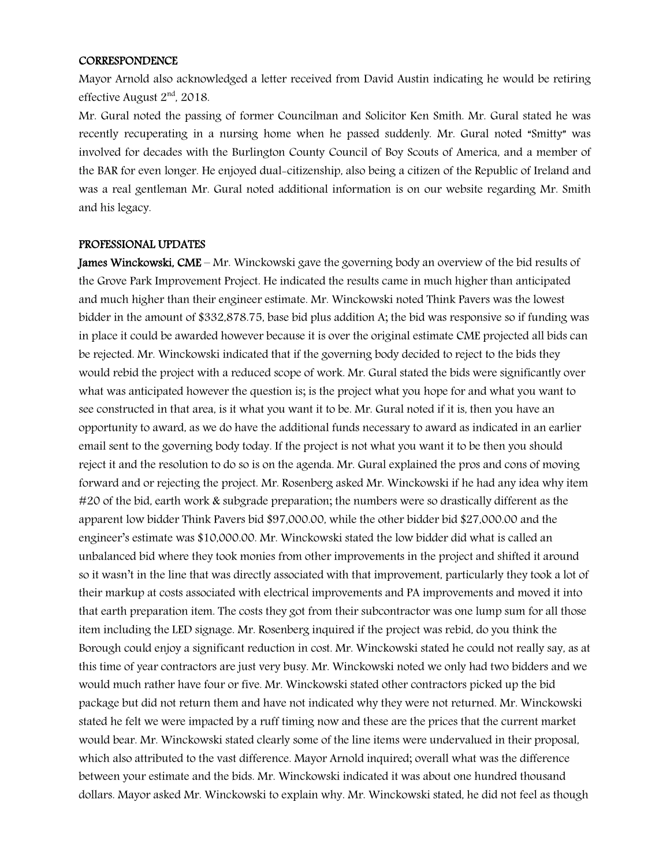#### CORRESPONDENCE

Mayor Arnold also acknowledged a letter received from David Austin indicating he would be retiring effective August 2nd, 2018.

Mr. Gural noted the passing of former Councilman and Solicitor Ken Smith. Mr. Gural stated he was recently recuperating in a nursing home when he passed suddenly. Mr. Gural noted "Smitty" was involved for decades with the Burlington County Council of Boy Scouts of America, and a member of the BAR for even longer. He enjoyed dual-citizenship, also being a citizen of the Republic of Ireland and was a real gentleman Mr. Gural noted additional information is on our website regarding Mr. Smith and his legacy.

#### PROFESSIONAL UPDATES

James Winckowski, CME – Mr. Winckowski gave the governing body an overview of the bid results of the Grove Park Improvement Project. He indicated the results came in much higher than anticipated and much higher than their engineer estimate. Mr. Winckowski noted Think Pavers was the lowest bidder in the amount of \$332,878.75, base bid plus addition A; the bid was responsive so if funding was in place it could be awarded however because it is over the original estimate CME projected all bids can be rejected. Mr. Winckowski indicated that if the governing body decided to reject to the bids they would rebid the project with a reduced scope of work. Mr. Gural stated the bids were significantly over what was anticipated however the question is; is the project what you hope for and what you want to see constructed in that area, is it what you want it to be. Mr. Gural noted if it is, then you have an opportunity to award, as we do have the additional funds necessary to award as indicated in an earlier email sent to the governing body today. If the project is not what you want it to be then you should reject it and the resolution to do so is on the agenda. Mr. Gural explained the pros and cons of moving forward and or rejecting the project. Mr. Rosenberg asked Mr. Winckowski if he had any idea why item #20 of the bid, earth work & subgrade preparation; the numbers were so drastically different as the apparent low bidder Think Pavers bid \$97,000.00, while the other bidder bid \$27,000.00 and the engineer's estimate was \$10,000.00. Mr. Winckowski stated the low bidder did what is called an unbalanced bid where they took monies from other improvements in the project and shifted it around so it wasn't in the line that was directly associated with that improvement, particularly they took a lot of their markup at costs associated with electrical improvements and PA improvements and moved it into that earth preparation item. The costs they got from their subcontractor was one lump sum for all those item including the LED signage. Mr. Rosenberg inquired if the project was rebid, do you think the Borough could enjoy a significant reduction in cost. Mr. Winckowski stated he could not really say, as at this time of year contractors are just very busy. Mr. Winckowski noted we only had two bidders and we would much rather have four or five. Mr. Winckowski stated other contractors picked up the bid package but did not return them and have not indicated why they were not returned. Mr. Winckowski stated he felt we were impacted by a ruff timing now and these are the prices that the current market would bear. Mr. Winckowski stated clearly some of the line items were undervalued in their proposal, which also attributed to the vast difference. Mayor Arnold inquired; overall what was the difference between your estimate and the bids. Mr. Winckowski indicated it was about one hundred thousand dollars. Mayor asked Mr. Winckowski to explain why. Mr. Winckowski stated, he did not feel as though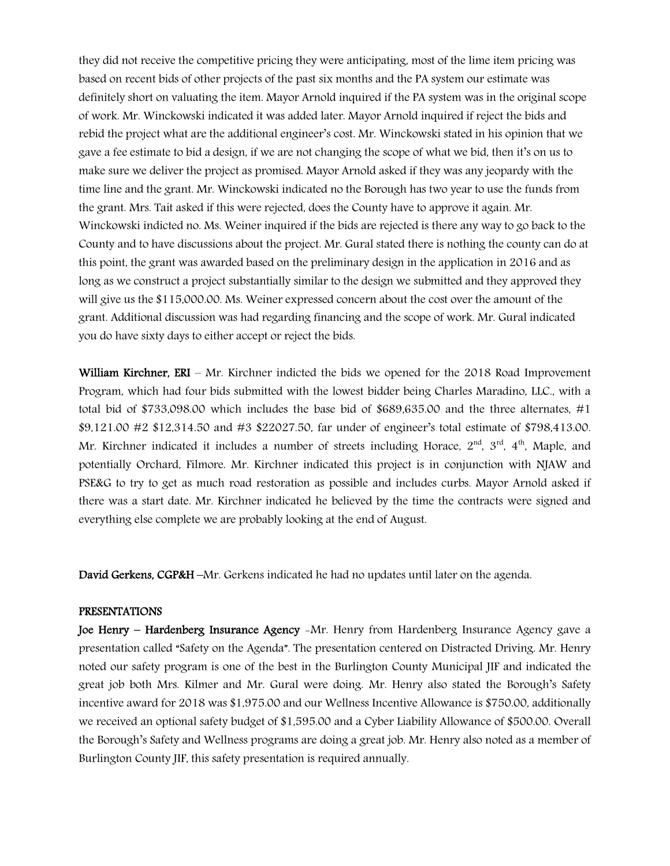they did not receive the competitive pricing they were anticipating, most of the lime item pricing was based on recent bids of other projects of the past six months and the PA system our estimate was definitely short on valuating the item. Mayor Arnold inquired if the PA system was in the original scope of work. Mr. Winckowski indicated it was added later. Mayor Arnold inquired if reject the bids and rebid the project what are the additional engineer's cost. Mr. Winckowski stated in his opinion that we gave a fee estimate to bid a design, if we are not changing the scope of what we bid, then it's on us to make sure we deliver the project as promised. Mayor Arnold asked if they was any jeopardy with the time line and the grant. Mr. Winckowski indicated no the Borough has two year to use the funds from the grant. Mrs. Tait asked if this were rejected, does the County have to approve it again. Mr. Winckowski indicted no. Ms. Weiner inquired if the bids are rejected is there any way to go back to the County and to have discussions about the project. Mr. Gural stated there is nothing the county can do at this point, the grant was awarded based on the preliminary design in the application in 2016 and as long as we construct a project substantially similar to the design we submitted and they approved they will give us the \$115,000.00. Ms. Weiner expressed concern about the cost over the amount of the grant. Additional discussion was had regarding financing and the scope of work. Mr. Gural indicated you do have sixty days to either accept or reject the bids.

William Kirchner, ERI – Mr. Kirchner indicted the bids we opened for the 2018 Road Improvement Program, which had four bids submitted with the lowest bidder being Charles Maradino, LLC., with a total bid of \$733,098.00 which includes the base bid of \$689,635.00 and the three alternates, #1 \$9,121.00 #2 \$12,314.50 and #3 \$22027.50, far under of engineer's total estimate of \$798,413.00. Mr. Kirchner indicated it includes a number of streets including Horace,  $2<sup>nd</sup>$ ,  $3<sup>rd</sup>$ ,  $4<sup>th</sup>$ , Maple, and potentially Orchard, Filmore. Mr. Kirchner indicated this project is in conjunction with NJAW and PSE&G to try to get as much road restoration as possible and includes curbs. Mayor Arnold asked if there was a start date. Mr. Kirchner indicated he believed by the time the contracts were signed and everything else complete we are probably looking at the end of August.

David Gerkens, CGP&H –Mr. Gerkens indicated he had no updates until later on the agenda.

#### PRESENTATIONS

Joe Henry – Hardenberg Insurance Agency -Mr. Henry from Hardenberg Insurance Agency gave a presentation called "Safety on the Agenda". The presentation centered on Distracted Driving. Mr. Henry noted our safety program is one of the best in the Burlington County Municipal JIF and indicated the great job both Mrs. Kilmer and Mr. Gural were doing. Mr. Henry also stated the Borough's Safety incentive award for 2018 was \$1,975.00 and our Wellness Incentive Allowance is \$750.00, additionally we received an optional safety budget of \$1,595.00 and a Cyber Liability Allowance of \$500.00. Overall the Borough's Safety and Wellness programs are doing a great job. Mr. Henry also noted as a member of Burlington County JIF, this safety presentation is required annually.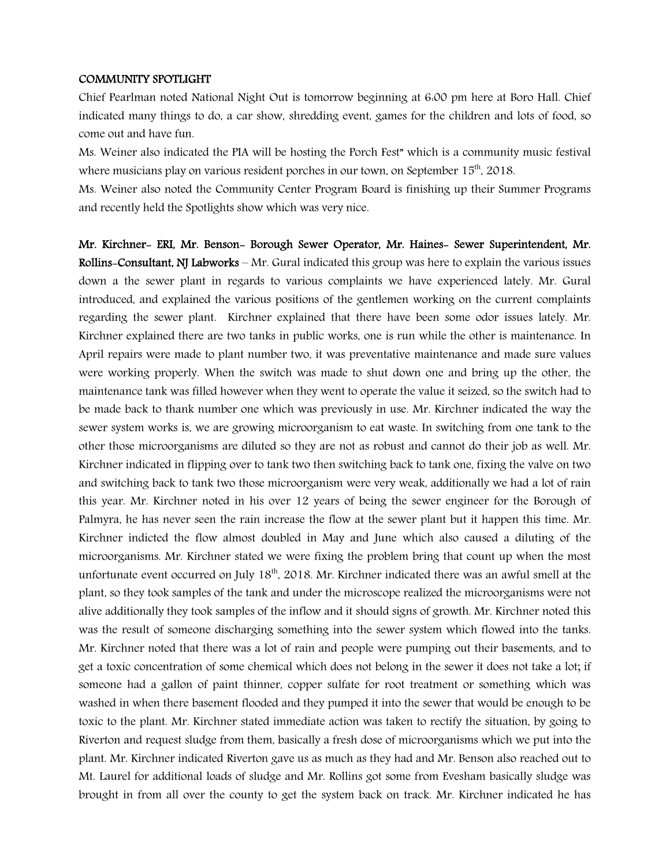#### COMMUNITY SPOTLIGHT

Chief Pearlman noted National Night Out is tomorrow beginning at 6:00 pm here at Boro Hall. Chief indicated many things to do, a car show, shredding event, games for the children and lots of food, so come out and have fun.

Ms. Weiner also indicated the PIA will be hosting the Porch Fest" which is a community music festival where musicians play on various resident porches in our town, on September 15<sup>th</sup>, 2018.

Ms. Weiner also noted the Community Center Program Board is finishing up their Summer Programs and recently held the Spotlights show which was very nice.

Mr. Kirchner- ERI, Mr. Benson- Borough Sewer Operator, Mr. Haines- Sewer Superintendent, Mr. Rollins-Consultant, NJ Labworks – Mr. Gural indicated this group was here to explain the various issues down a the sewer plant in regards to various complaints we have experienced lately. Mr. Gural introduced, and explained the various positions of the gentlemen working on the current complaints regarding the sewer plant. Kirchner explained that there have been some odor issues lately. Mr. Kirchner explained there are two tanks in public works, one is run while the other is maintenance. In April repairs were made to plant number two, it was preventative maintenance and made sure values were working properly. When the switch was made to shut down one and bring up the other, the maintenance tank was filled however when they went to operate the value it seized, so the switch had to be made back to thank number one which was previously in use. Mr. Kirchner indicated the way the sewer system works is, we are growing microorganism to eat waste. In switching from one tank to the other those microorganisms are diluted so they are not as robust and cannot do their job as well. Mr. Kirchner indicated in flipping over to tank two then switching back to tank one, fixing the valve on two and switching back to tank two those microorganism were very weak, additionally we had a lot of rain this year. Mr. Kirchner noted in his over 12 years of being the sewer engineer for the Borough of Palmyra, he has never seen the rain increase the flow at the sewer plant but it happen this time. Mr. Kirchner indicted the flow almost doubled in May and June which also caused a diluting of the microorganisms. Mr. Kirchner stated we were fixing the problem bring that count up when the most unfortunate event occurred on July 18<sup>th</sup>, 2018. Mr. Kirchner indicated there was an awful smell at the plant, so they took samples of the tank and under the microscope realized the microorganisms were not alive additionally they took samples of the inflow and it should signs of growth. Mr. Kirchner noted this was the result of someone discharging something into the sewer system which flowed into the tanks. Mr. Kirchner noted that there was a lot of rain and people were pumping out their basements, and to get a toxic concentration of some chemical which does not belong in the sewer it does not take a lot; if someone had a gallon of paint thinner, copper sulfate for root treatment or something which was washed in when there basement flooded and they pumped it into the sewer that would be enough to be toxic to the plant. Mr. Kirchner stated immediate action was taken to rectify the situation, by going to Riverton and request sludge from them, basically a fresh dose of microorganisms which we put into the plant. Mr. Kirchner indicated Riverton gave us as much as they had and Mr. Benson also reached out to Mt. Laurel for additional loads of sludge and Mr. Rollins got some from Evesham basically sludge was brought in from all over the county to get the system back on track. Mr. Kirchner indicated he has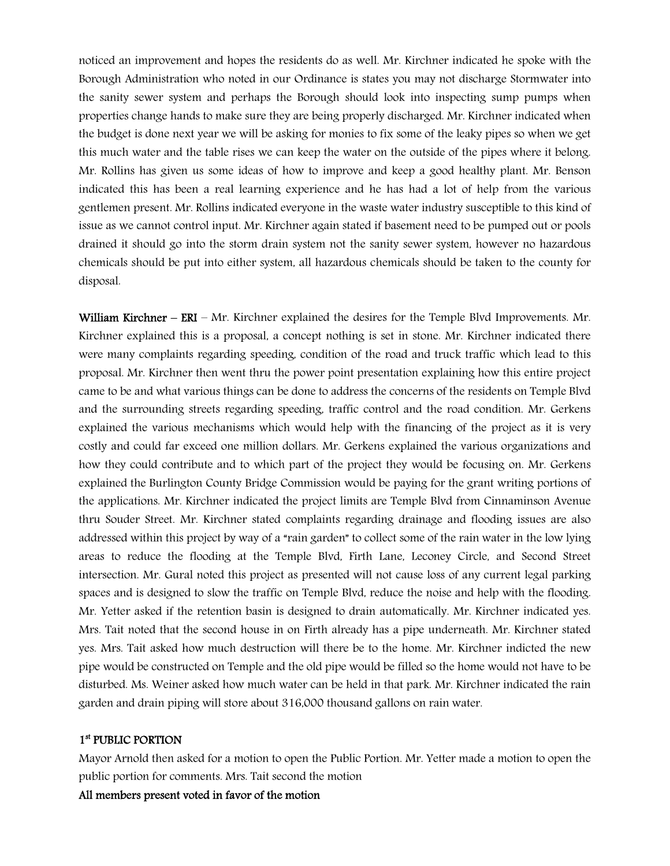noticed an improvement and hopes the residents do as well. Mr. Kirchner indicated he spoke with the Borough Administration who noted in our Ordinance is states you may not discharge Stormwater into the sanity sewer system and perhaps the Borough should look into inspecting sump pumps when properties change hands to make sure they are being properly discharged. Mr. Kirchner indicated when the budget is done next year we will be asking for monies to fix some of the leaky pipes so when we get this much water and the table rises we can keep the water on the outside of the pipes where it belong. Mr. Rollins has given us some ideas of how to improve and keep a good healthy plant. Mr. Benson indicated this has been a real learning experience and he has had a lot of help from the various gentlemen present. Mr. Rollins indicated everyone in the waste water industry susceptible to this kind of issue as we cannot control input. Mr. Kirchner again stated if basement need to be pumped out or pools drained it should go into the storm drain system not the sanity sewer system, however no hazardous chemicals should be put into either system, all hazardous chemicals should be taken to the county for disposal.

William Kirchner –  $ERI - Mr.$  Kirchner explained the desires for the Temple Blvd Improvements. Mr. Kirchner explained this is a proposal, a concept nothing is set in stone. Mr. Kirchner indicated there were many complaints regarding speeding, condition of the road and truck traffic which lead to this proposal. Mr. Kirchner then went thru the power point presentation explaining how this entire project came to be and what various things can be done to address the concerns of the residents on Temple Blvd and the surrounding streets regarding speeding, traffic control and the road condition. Mr. Gerkens explained the various mechanisms which would help with the financing of the project as it is very costly and could far exceed one million dollars. Mr. Gerkens explained the various organizations and how they could contribute and to which part of the project they would be focusing on. Mr. Gerkens explained the Burlington County Bridge Commission would be paying for the grant writing portions of the applications. Mr. Kirchner indicated the project limits are Temple Blvd from Cinnaminson Avenue thru Souder Street. Mr. Kirchner stated complaints regarding drainage and flooding issues are also addressed within this project by way of a "rain garden" to collect some of the rain water in the low lying areas to reduce the flooding at the Temple Blvd, Firth Lane, Leconey Circle, and Second Street intersection. Mr. Gural noted this project as presented will not cause loss of any current legal parking spaces and is designed to slow the traffic on Temple Blvd, reduce the noise and help with the flooding. Mr. Yetter asked if the retention basin is designed to drain automatically. Mr. Kirchner indicated yes. Mrs. Tait noted that the second house in on Firth already has a pipe underneath. Mr. Kirchner stated yes. Mrs. Tait asked how much destruction will there be to the home. Mr. Kirchner indicted the new pipe would be constructed on Temple and the old pipe would be filled so the home would not have to be disturbed. Ms. Weiner asked how much water can be held in that park. Mr. Kirchner indicated the rain garden and drain piping will store about 316,000 thousand gallons on rain water.

## 1st PUBLIC PORTION

Mayor Arnold then asked for a motion to open the Public Portion. Mr. Yetter made a motion to open the public portion for comments. Mrs. Tait second the motion

## All members present voted in favor of the motion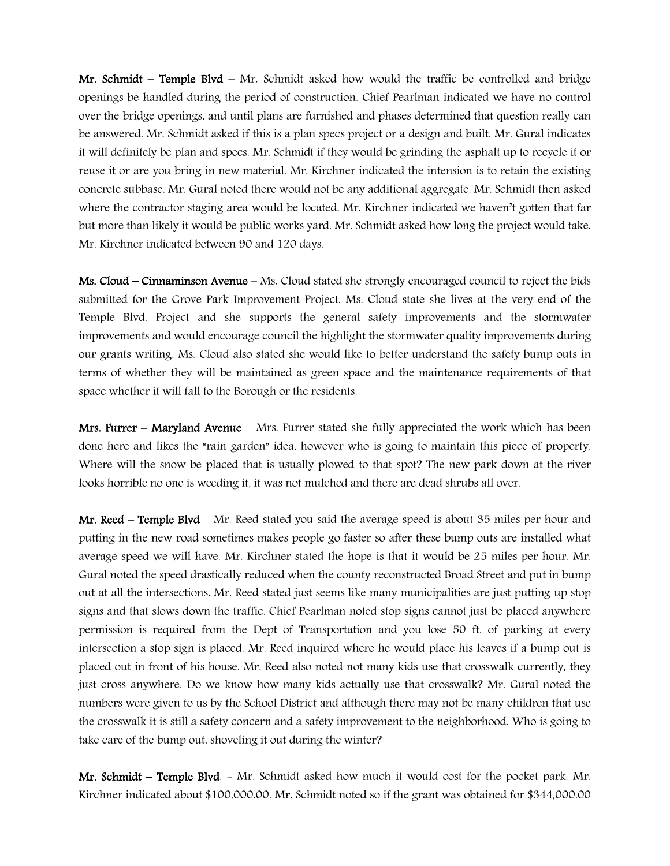Mr. Schmidt – Temple Blvd – Mr. Schmidt asked how would the traffic be controlled and bridge openings be handled during the period of construction. Chief Pearlman indicated we have no control over the bridge openings, and until plans are furnished and phases determined that question really can be answered. Mr. Schmidt asked if this is a plan specs project or a design and built. Mr. Gural indicates it will definitely be plan and specs. Mr. Schmidt if they would be grinding the asphalt up to recycle it or reuse it or are you bring in new material. Mr. Kirchner indicated the intension is to retain the existing concrete subbase. Mr. Gural noted there would not be any additional aggregate. Mr. Schmidt then asked where the contractor staging area would be located. Mr. Kirchner indicated we haven't gotten that far but more than likely it would be public works yard. Mr. Schmidt asked how long the project would take. Mr. Kirchner indicated between 90 and 120 days.

Ms. Cloud – Cinnaminson Avenue – Ms. Cloud stated she strongly encouraged council to reject the bids submitted for the Grove Park Improvement Project. Ms. Cloud state she lives at the very end of the Temple Blvd. Project and she supports the general safety improvements and the stormwater improvements and would encourage council the highlight the stormwater quality improvements during our grants writing. Ms. Cloud also stated she would like to better understand the safety bump outs in terms of whether they will be maintained as green space and the maintenance requirements of that space whether it will fall to the Borough or the residents.

Mrs. Furrer – Maryland Avenue – Mrs. Furrer stated she fully appreciated the work which has been done here and likes the "rain garden" idea, however who is going to maintain this piece of property. Where will the snow be placed that is usually plowed to that spot? The new park down at the river looks horrible no one is weeding it, it was not mulched and there are dead shrubs all over.

Mr. Reed – Temple Blyd – Mr. Reed stated you said the average speed is about 35 miles per hour and putting in the new road sometimes makes people go faster so after these bump outs are installed what average speed we will have. Mr. Kirchner stated the hope is that it would be 25 miles per hour. Mr. Gural noted the speed drastically reduced when the county reconstructed Broad Street and put in bump out at all the intersections. Mr. Reed stated just seems like many municipalities are just putting up stop signs and that slows down the traffic. Chief Pearlman noted stop signs cannot just be placed anywhere permission is required from the Dept of Transportation and you lose 50 ft. of parking at every intersection a stop sign is placed. Mr. Reed inquired where he would place his leaves if a bump out is placed out in front of his house. Mr. Reed also noted not many kids use that crosswalk currently, they just cross anywhere. Do we know how many kids actually use that crosswalk? Mr. Gural noted the numbers were given to us by the School District and although there may not be many children that use the crosswalk it is still a safety concern and a safety improvement to the neighborhood. Who is going to take care of the bump out, shoveling it out during the winter?

Mr. Schmidt – Temple Blvd. - Mr. Schmidt asked how much it would cost for the pocket park. Mr. Kirchner indicated about \$100,000.00. Mr. Schmidt noted so if the grant was obtained for \$344,000.00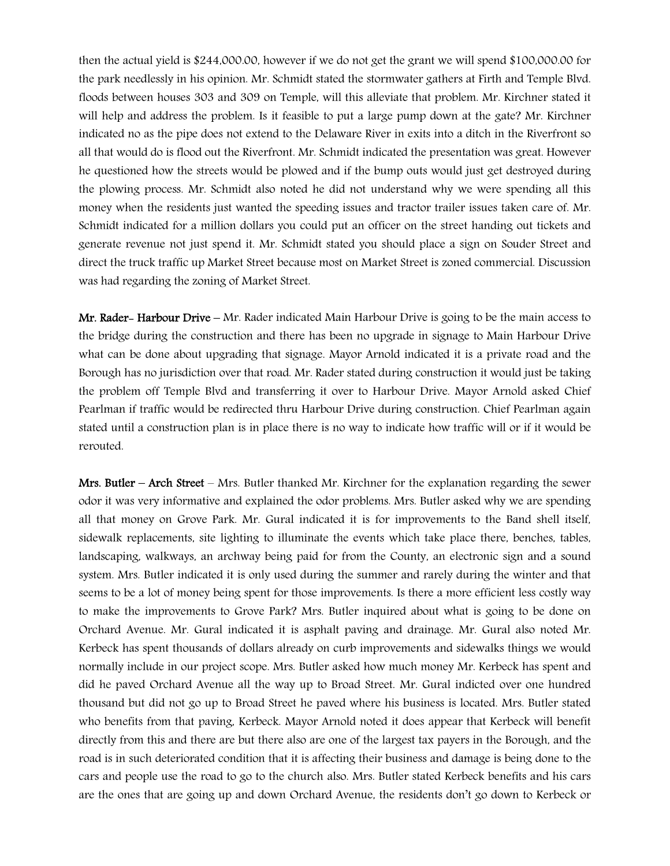then the actual yield is \$244,000.00, however if we do not get the grant we will spend \$100,000.00 for the park needlessly in his opinion. Mr. Schmidt stated the stormwater gathers at Firth and Temple Blvd. floods between houses 303 and 309 on Temple, will this alleviate that problem. Mr. Kirchner stated it will help and address the problem. Is it feasible to put a large pump down at the gate? Mr. Kirchner indicated no as the pipe does not extend to the Delaware River in exits into a ditch in the Riverfront so all that would do is flood out the Riverfront. Mr. Schmidt indicated the presentation was great. However he questioned how the streets would be plowed and if the bump outs would just get destroyed during the plowing process. Mr. Schmidt also noted he did not understand why we were spending all this money when the residents just wanted the speeding issues and tractor trailer issues taken care of. Mr. Schmidt indicated for a million dollars you could put an officer on the street handing out tickets and generate revenue not just spend it. Mr. Schmidt stated you should place a sign on Souder Street and direct the truck traffic up Market Street because most on Market Street is zoned commercial. Discussion was had regarding the zoning of Market Street.

Mr. Rader– Harbour Drive – Mr. Rader indicated Main Harbour Drive is going to be the main access to the bridge during the construction and there has been no upgrade in signage to Main Harbour Drive what can be done about upgrading that signage. Mayor Arnold indicated it is a private road and the Borough has no jurisdiction over that road. Mr. Rader stated during construction it would just be taking the problem off Temple Blvd and transferring it over to Harbour Drive. Mayor Arnold asked Chief Pearlman if traffic would be redirected thru Harbour Drive during construction. Chief Pearlman again stated until a construction plan is in place there is no way to indicate how traffic will or if it would be rerouted.

Mrs. Butler – Arch Street – Mrs. Butler thanked Mr. Kirchner for the explanation regarding the sewer odor it was very informative and explained the odor problems. Mrs. Butler asked why we are spending all that money on Grove Park. Mr. Gural indicated it is for improvements to the Band shell itself, sidewalk replacements, site lighting to illuminate the events which take place there, benches, tables, landscaping, walkways, an archway being paid for from the County, an electronic sign and a sound system. Mrs. Butler indicated it is only used during the summer and rarely during the winter and that seems to be a lot of money being spent for those improvements. Is there a more efficient less costly way to make the improvements to Grove Park? Mrs. Butler inquired about what is going to be done on Orchard Avenue. Mr. Gural indicated it is asphalt paving and drainage. Mr. Gural also noted Mr. Kerbeck has spent thousands of dollars already on curb improvements and sidewalks things we would normally include in our project scope. Mrs. Butler asked how much money Mr. Kerbeck has spent and did he paved Orchard Avenue all the way up to Broad Street. Mr. Gural indicted over one hundred thousand but did not go up to Broad Street he paved where his business is located. Mrs. Butler stated who benefits from that paving, Kerbeck. Mayor Arnold noted it does appear that Kerbeck will benefit directly from this and there are but there also are one of the largest tax payers in the Borough, and the road is in such deteriorated condition that it is affecting their business and damage is being done to the cars and people use the road to go to the church also. Mrs. Butler stated Kerbeck benefits and his cars are the ones that are going up and down Orchard Avenue, the residents don't go down to Kerbeck or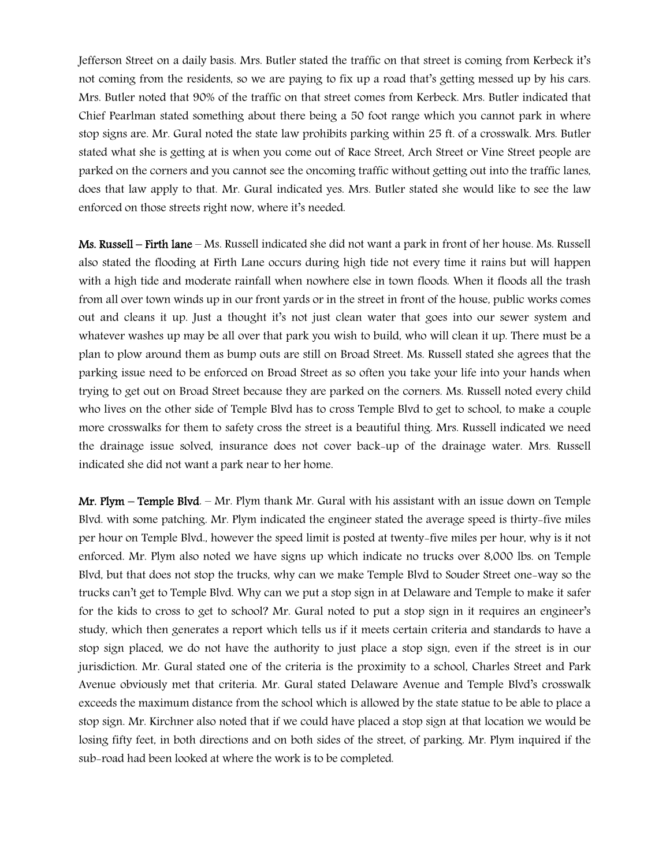Jefferson Street on a daily basis. Mrs. Butler stated the traffic on that street is coming from Kerbeck it's not coming from the residents, so we are paying to fix up a road that's getting messed up by his cars. Mrs. Butler noted that 90% of the traffic on that street comes from Kerbeck. Mrs. Butler indicated that Chief Pearlman stated something about there being a 50 foot range which you cannot park in where stop signs are. Mr. Gural noted the state law prohibits parking within 25 ft. of a crosswalk. Mrs. Butler stated what she is getting at is when you come out of Race Street, Arch Street or Vine Street people are parked on the corners and you cannot see the oncoming traffic without getting out into the traffic lanes, does that law apply to that. Mr. Gural indicated yes. Mrs. Butler stated she would like to see the law enforced on those streets right now, where it's needed.

Ms. Russell – Firth lane – Ms. Russell indicated she did not want a park in front of her house. Ms. Russell also stated the flooding at Firth Lane occurs during high tide not every time it rains but will happen with a high tide and moderate rainfall when nowhere else in town floods. When it floods all the trash from all over town winds up in our front yards or in the street in front of the house, public works comes out and cleans it up. Just a thought it's not just clean water that goes into our sewer system and whatever washes up may be all over that park you wish to build, who will clean it up. There must be a plan to plow around them as bump outs are still on Broad Street. Ms. Russell stated she agrees that the parking issue need to be enforced on Broad Street as so often you take your life into your hands when trying to get out on Broad Street because they are parked on the corners. Ms. Russell noted every child who lives on the other side of Temple Blvd has to cross Temple Blvd to get to school, to make a couple more crosswalks for them to safety cross the street is a beautiful thing. Mrs. Russell indicated we need the drainage issue solved, insurance does not cover back-up of the drainage water. Mrs. Russell indicated she did not want a park near to her home.

Mr. Plym – Temple Blvd. – Mr. Plym thank Mr. Gural with his assistant with an issue down on Temple Blvd. with some patching. Mr. Plym indicated the engineer stated the average speed is thirty-five miles per hour on Temple Blvd., however the speed limit is posted at twenty-five miles per hour, why is it not enforced. Mr. Plym also noted we have signs up which indicate no trucks over 8,000 lbs. on Temple Blvd, but that does not stop the trucks, why can we make Temple Blvd to Souder Street one-way so the trucks can't get to Temple Blvd. Why can we put a stop sign in at Delaware and Temple to make it safer for the kids to cross to get to school? Mr. Gural noted to put a stop sign in it requires an engineer's study, which then generates a report which tells us if it meets certain criteria and standards to have a stop sign placed, we do not have the authority to just place a stop sign, even if the street is in our jurisdiction. Mr. Gural stated one of the criteria is the proximity to a school, Charles Street and Park Avenue obviously met that criteria. Mr. Gural stated Delaware Avenue and Temple Blvd's crosswalk exceeds the maximum distance from the school which is allowed by the state statue to be able to place a stop sign. Mr. Kirchner also noted that if we could have placed a stop sign at that location we would be losing fifty feet, in both directions and on both sides of the street, of parking. Mr. Plym inquired if the sub-road had been looked at where the work is to be completed.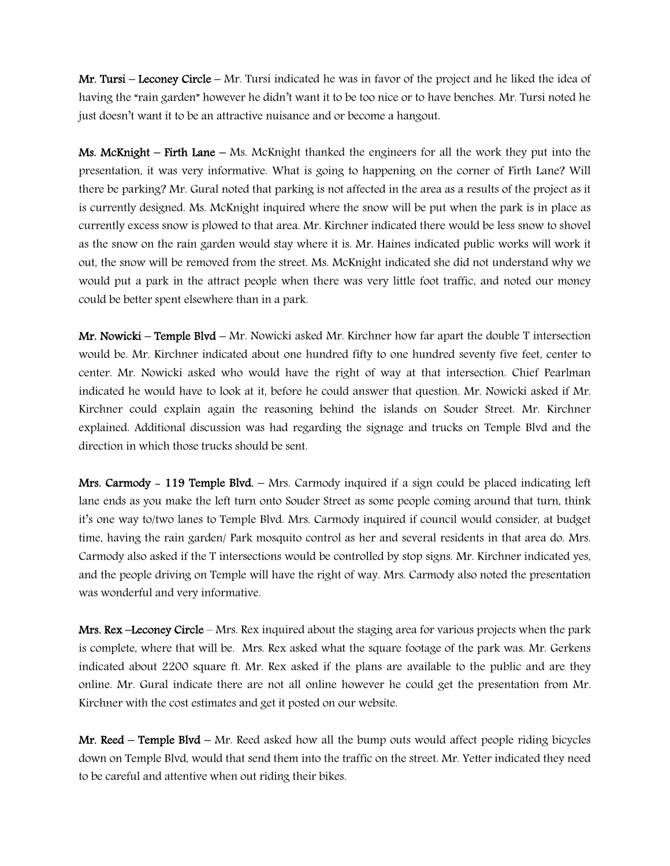Mr. Tursi – Leconey Circle – Mr. Tursi indicated he was in favor of the project and he liked the idea of having the "rain garden" however he didn't want it to be too nice or to have benches. Mr. Tursi noted he just doesn't want it to be an attractive nuisance and or become a hangout.

**Ms. McKnight – Firth Lane –** Ms. McKnight thanked the engineers for all the work they put into the presentation, it was very informative. What is going to happening on the corner of Firth Lane? Will there be parking? Mr. Gural noted that parking is not affected in the area as a results of the project as it is currently designed. Ms. McKnight inquired where the snow will be put when the park is in place as currently excess snow is plowed to that area. Mr. Kirchner indicated there would be less snow to shovel as the snow on the rain garden would stay where it is. Mr. Haines indicated public works will work it out, the snow will be removed from the street. Ms. McKnight indicated she did not understand why we would put a park in the attract people when there was very little foot traffic, and noted our money could be better spent elsewhere than in a park.

Mr. Nowicki – Temple Blvd – Mr. Nowicki asked Mr. Kirchner how far apart the double T intersection would be. Mr. Kirchner indicated about one hundred fifty to one hundred seventy five feet, center to center. Mr. Nowicki asked who would have the right of way at that intersection. Chief Pearlman indicated he would have to look at it, before he could answer that question. Mr. Nowicki asked if Mr. Kirchner could explain again the reasoning behind the islands on Souder Street. Mr. Kirchner explained. Additional discussion was had regarding the signage and trucks on Temple Blvd and the direction in which those trucks should be sent.

**Mrs. Carmody - 119 Temple Blvd.**  $-$  Mrs. Carmody inquired if a sign could be placed indicating left lane ends as you make the left turn onto Souder Street as some people coming around that turn, think it's one way to/two lanes to Temple Blvd. Mrs. Carmody inquired if council would consider, at budget time, having the rain garden/ Park mosquito control as her and several residents in that area do. Mrs. Carmody also asked if the T intersections would be controlled by stop signs. Mr. Kirchner indicated yes, and the people driving on Temple will have the right of way. Mrs. Carmody also noted the presentation was wonderful and very informative.

Mrs. Rex –Leconey Circle – Mrs. Rex inquired about the staging area for various projects when the park is complete, where that will be. Mrs. Rex asked what the square footage of the park was. Mr. Gerkens indicated about 2200 square ft. Mr. Rex asked if the plans are available to the public and are they online. Mr. Gural indicate there are not all online however he could get the presentation from Mr. Kirchner with the cost estimates and get it posted on our website.

Mr. Reed – Temple Blvd – Mr. Reed asked how all the bump outs would affect people riding bicycles down on Temple Blvd, would that send them into the traffic on the street. Mr. Yetter indicated they need to be careful and attentive when out riding their bikes.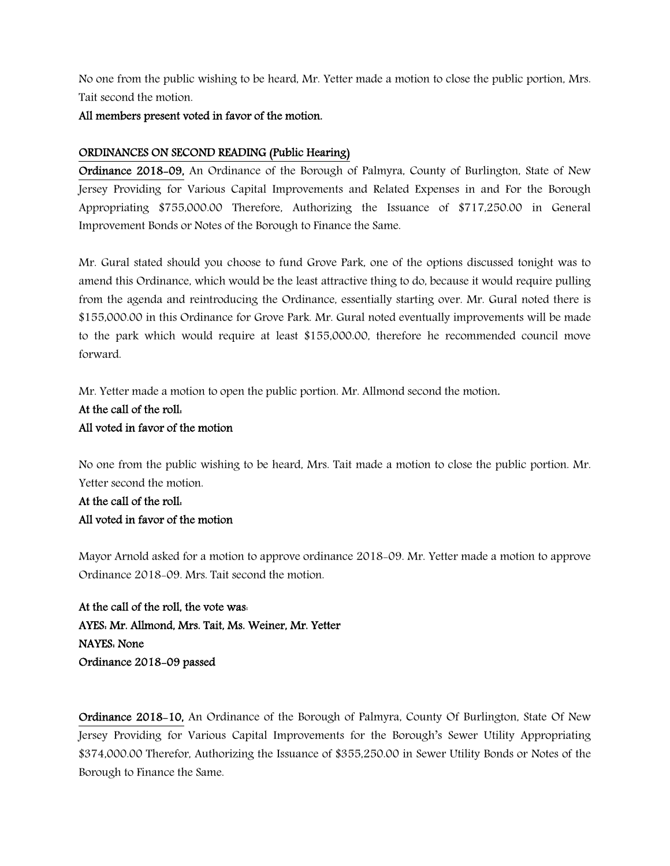No one from the public wishing to be heard, Mr. Yetter made a motion to close the public portion, Mrs. Tait second the motion.

## All members present voted in favor of the motion.

## ORDINANCES ON SECOND READING (Public Hearing)

Ordinance 2018-09, An Ordinance of the Borough of Palmyra, County of Burlington, State of New Jersey Providing for Various Capital Improvements and Related Expenses in and For the Borough Appropriating \$755,000.00 Therefore, Authorizing the Issuance of \$717,250.00 in General Improvement Bonds or Notes of the Borough to Finance the Same.

Mr. Gural stated should you choose to fund Grove Park, one of the options discussed tonight was to amend this Ordinance, which would be the least attractive thing to do, because it would require pulling from the agenda and reintroducing the Ordinance, essentially starting over. Mr. Gural noted there is \$155,000.00 in this Ordinance for Grove Park. Mr. Gural noted eventually improvements will be made to the park which would require at least \$155,000.00, therefore he recommended council move forward.

Mr. Yetter made a motion to open the public portion. Mr. Allmond second the motion.

## At the call of the roll:

## All voted in favor of the motion

No one from the public wishing to be heard, Mrs. Tait made a motion to close the public portion. Mr. Yetter second the motion.

## At the call of the roll: All voted in favor of the motion

Mayor Arnold asked for a motion to approve ordinance 2018-09. Mr. Yetter made a motion to approve Ordinance 2018-09. Mrs. Tait second the motion.

At the call of the roll, the vote was: AYES: Mr. Allmond, Mrs. Tait, Ms. Weiner, Mr. Yetter NAYES: None Ordinance 2018-09 passed

Ordinance 2018-10, An Ordinance of the Borough of Palmyra, County Of Burlington, State Of New Jersey Providing for Various Capital Improvements for the Borough's Sewer Utility Appropriating \$374,000.00 Therefor, Authorizing the Issuance of \$355,250.00 in Sewer Utility Bonds or Notes of the Borough to Finance the Same.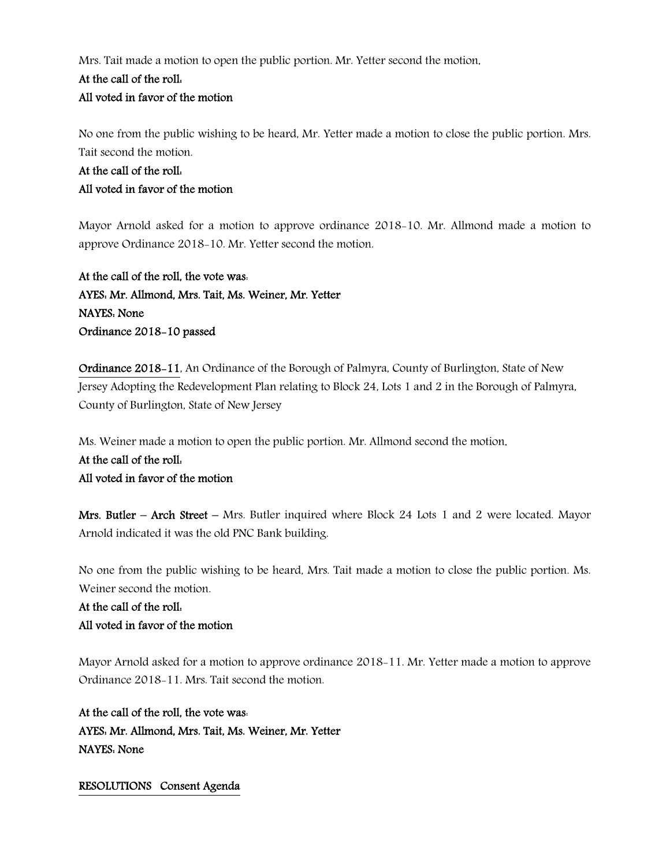Mrs. Tait made a motion to open the public portion. Mr. Yetter second the motion.

## At the call of the roll:

## All voted in favor of the motion

No one from the public wishing to be heard, Mr. Yetter made a motion to close the public portion. Mrs. Tait second the motion.

## At the call of the roll: All voted in favor of the motion

Mayor Arnold asked for a motion to approve ordinance 2018-10. Mr. Allmond made a motion to approve Ordinance 2018-10. Mr. Yetter second the motion.

At the call of the roll, the vote was: AYES: Mr. Allmond, Mrs. Tait, Ms. Weiner, Mr. Yetter NAYES: None Ordinance 2018-10 passed

Ordinance 2018-11, An Ordinance of the Borough of Palmyra, County of Burlington, State of New Jersey Adopting the Redevelopment Plan relating to Block 24, Lots 1 and 2 in the Borough of Palmyra, County of Burlington, State of New Jersey

Ms. Weiner made a motion to open the public portion. Mr. Allmond second the motion.

## At the call of the roll: All voted in favor of the motion

Mrs. Butler – Arch Street – Mrs. Butler inquired where Block 24 Lots 1 and 2 were located. Mayor Arnold indicated it was the old PNC Bank building.

No one from the public wishing to be heard, Mrs. Tait made a motion to close the public portion. Ms. Weiner second the motion.

## At the call of the roll: All voted in favor of the motion

Mayor Arnold asked for a motion to approve ordinance 2018-11. Mr. Yetter made a motion to approve Ordinance 2018-11. Mrs. Tait second the motion.

At the call of the roll, the vote was: AYES: Mr. Allmond, Mrs. Tait, Ms. Weiner, Mr. Yetter NAYES: None

## RESOLUTIONS Consent Agenda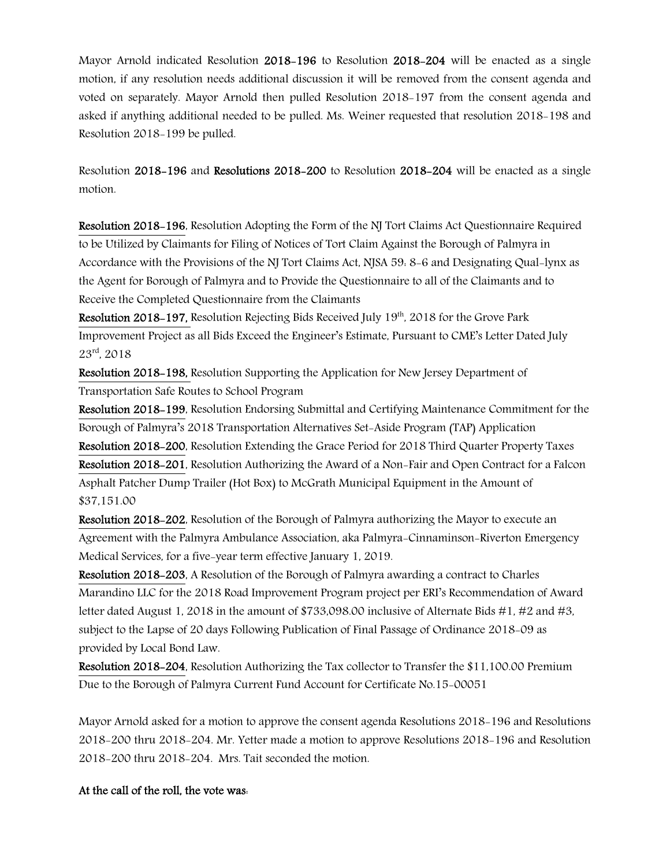Mayor Arnold indicated Resolution 2018-196 to Resolution 2018-204 will be enacted as a single motion, if any resolution needs additional discussion it will be removed from the consent agenda and voted on separately. Mayor Arnold then pulled Resolution 2018-197 from the consent agenda and asked if anything additional needed to be pulled. Ms. Weiner requested that resolution 2018-198 and Resolution 2018-199 be pulled.

Resolution 2018-196 and Resolutions 2018-200 to Resolution 2018-204 will be enacted as a single motion.

Resolution 2018-196, Resolution Adopting the Form of the NJ Tort Claims Act Questionnaire Required to be Utilized by Claimants for Filing of Notices of Tort Claim Against the Borough of Palmyra in Accordance with the Provisions of the NJ Tort Claims Act, NJSA 59: 8-6 and Designating Qual-lynx as the Agent for Borough of Palmyra and to Provide the Questionnaire to all of the Claimants and to Receive the Completed Questionnaire from the Claimants

Resolution 2018-197, Resolution Rejecting Bids Received July 19th, 2018 for the Grove Park Improvement Project as all Bids Exceed the Engineer's Estimate, Pursuant to CME's Letter Dated July 23rd, 2018

Resolution 2018-198, Resolution Supporting the Application for New Jersey Department of Transportation Safe Routes to School Program

Resolution 2018-199, Resolution Endorsing Submittal and Certifying Maintenance Commitment for the Borough of Palmyra's 2018 Transportation Alternatives Set-Aside Program (TAP) Application Resolution 2018-200, Resolution Extending the Grace Period for 2018 Third Quarter Property Taxes Resolution 2018-201, Resolution Authorizing the Award of a Non-Fair and Open Contract for a Falcon Asphalt Patcher Dump Trailer (Hot Box) to McGrath Municipal Equipment in the Amount of \$37,151.00

Resolution 2018-202, Resolution of the Borough of Palmyra authorizing the Mayor to execute an Agreement with the Palmyra Ambulance Association, aka Palmyra-Cinnaminson-Riverton Emergency Medical Services, for a five-year term effective January 1, 2019.

Resolution 2018-203, A Resolution of the Borough of Palmyra awarding a contract to Charles Marandino LLC for the 2018 Road Improvement Program project per ERI's Recommendation of Award letter dated August 1, 2018 in the amount of \$733,098.00 inclusive of Alternate Bids #1, #2 and #3, subject to the Lapse of 20 days Following Publication of Final Passage of Ordinance 2018-09 as provided by Local Bond Law.

Resolution 2018-204, Resolution Authorizing the Tax collector to Transfer the \$11,100.00 Premium Due to the Borough of Palmyra Current Fund Account for Certificate No.15-00051

Mayor Arnold asked for a motion to approve the consent agenda Resolutions 2018-196 and Resolutions 2018-200 thru 2018-204. Mr. Yetter made a motion to approve Resolutions 2018-196 and Resolution 2018-200 thru 2018-204. Mrs. Tait seconded the motion.

## At the call of the roll, the vote was: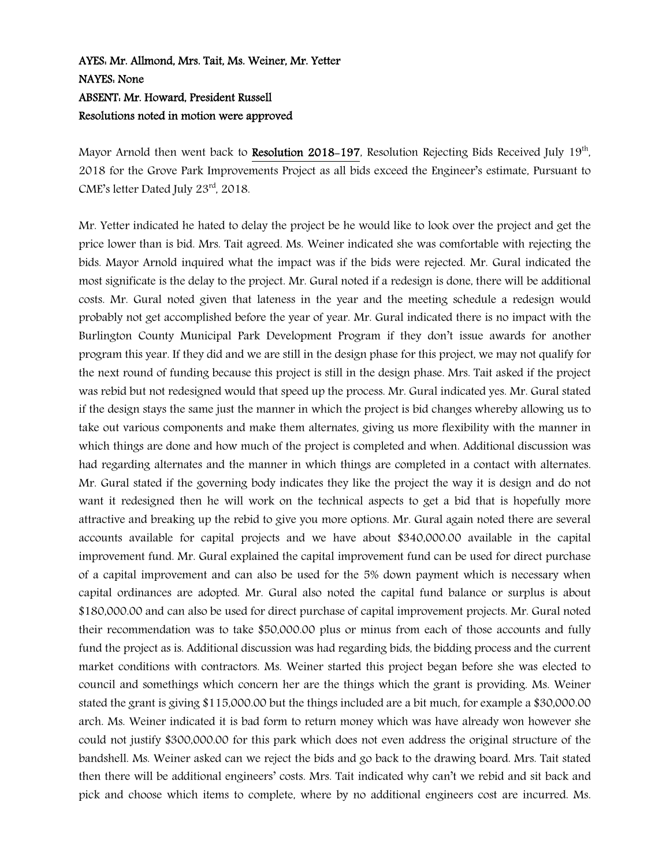## AYES: Mr. Allmond, Mrs. Tait, Ms. Weiner, Mr. Yetter NAYES: None ABSENT: Mr. Howard, President Russell Resolutions noted in motion were approved

Mayor Arnold then went back to Resolution 2018-197, Resolution Rejecting Bids Received July 19<sup>th</sup>, 2018 for the Grove Park Improvements Project as all bids exceed the Engineer's estimate, Pursuant to CME's letter Dated July 23rd, 2018.

Mr. Yetter indicated he hated to delay the project be he would like to look over the project and get the price lower than is bid. Mrs. Tait agreed. Ms. Weiner indicated she was comfortable with rejecting the bids. Mayor Arnold inquired what the impact was if the bids were rejected. Mr. Gural indicated the most significate is the delay to the project. Mr. Gural noted if a redesign is done, there will be additional costs. Mr. Gural noted given that lateness in the year and the meeting schedule a redesign would probably not get accomplished before the year of year. Mr. Gural indicated there is no impact with the Burlington County Municipal Park Development Program if they don't issue awards for another program this year. If they did and we are still in the design phase for this project, we may not qualify for the next round of funding because this project is still in the design phase. Mrs. Tait asked if the project was rebid but not redesigned would that speed up the process. Mr. Gural indicated yes. Mr. Gural stated if the design stays the same just the manner in which the project is bid changes whereby allowing us to take out various components and make them alternates, giving us more flexibility with the manner in which things are done and how much of the project is completed and when. Additional discussion was had regarding alternates and the manner in which things are completed in a contact with alternates. Mr. Gural stated if the governing body indicates they like the project the way it is design and do not want it redesigned then he will work on the technical aspects to get a bid that is hopefully more attractive and breaking up the rebid to give you more options. Mr. Gural again noted there are several accounts available for capital projects and we have about \$340,000.00 available in the capital improvement fund. Mr. Gural explained the capital improvement fund can be used for direct purchase of a capital improvement and can also be used for the 5% down payment which is necessary when capital ordinances are adopted. Mr. Gural also noted the capital fund balance or surplus is about \$180,000.00 and can also be used for direct purchase of capital improvement projects. Mr. Gural noted their recommendation was to take \$50,000.00 plus or minus from each of those accounts and fully fund the project as is. Additional discussion was had regarding bids, the bidding process and the current market conditions with contractors. Ms. Weiner started this project began before she was elected to council and somethings which concern her are the things which the grant is providing. Ms. Weiner stated the grant is giving \$115,000.00 but the things included are a bit much, for example a \$30,000.00 arch. Ms. Weiner indicated it is bad form to return money which was have already won however she could not justify \$300,000.00 for this park which does not even address the original structure of the bandshell. Ms. Weiner asked can we reject the bids and go back to the drawing board. Mrs. Tait stated then there will be additional engineers' costs. Mrs. Tait indicated why can't we rebid and sit back and pick and choose which items to complete, where by no additional engineers cost are incurred. Ms.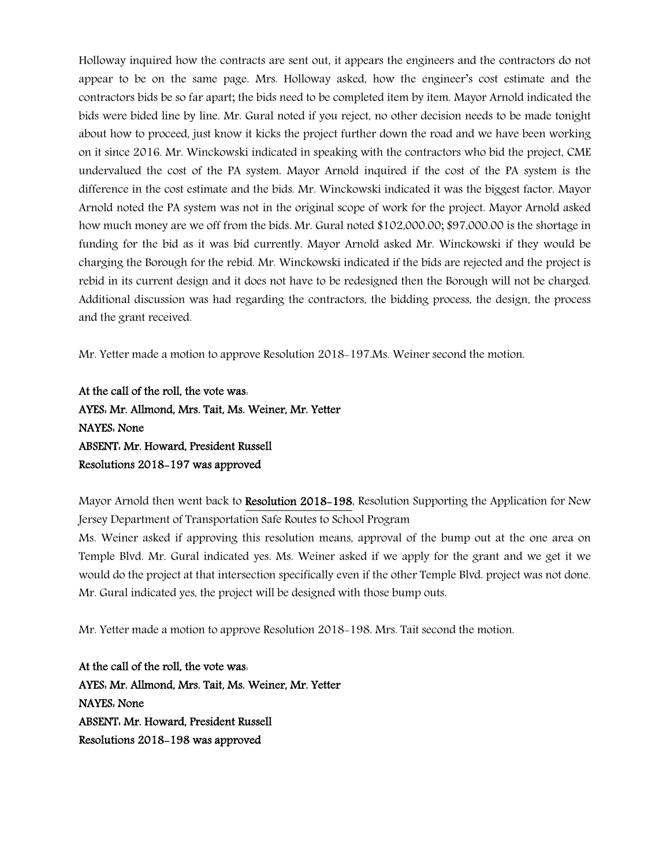Holloway inquired how the contracts are sent out, it appears the engineers and the contractors do not appear to be on the same page. Mrs. Holloway asked, how the engineer's cost estimate and the contractors bids be so far apart; the bids need to be completed item by item. Mayor Arnold indicated the bids were bided line by line. Mr. Gural noted if you reject, no other decision needs to be made tonight about how to proceed, just know it kicks the project further down the road and we have been working on it since 2016. Mr. Winckowski indicated in speaking with the contractors who bid the project, CME undervalued the cost of the PA system. Mayor Arnold inquired if the cost of the PA system is the difference in the cost estimate and the bids. Mr. Winckowski indicated it was the biggest factor. Mayor Arnold noted the PA system was not in the original scope of work for the project. Mayor Arnold asked how much money are we off from the bids. Mr. Gural noted \$102,000.00; \$97,000.00 is the shortage in funding for the bid as it was bid currently. Mayor Arnold asked Mr. Winckowski if they would be charging the Borough for the rebid. Mr. Winckowski indicated if the bids are rejected and the project is rebid in its current design and it does not have to be redesigned then the Borough will not be charged. Additional discussion was had regarding the contractors, the bidding process, the design, the process and the grant received.

Mr. Yetter made a motion to approve Resolution 2018-197.Ms. Weiner second the motion.

At the call of the roll, the vote was: AYES: Mr. Allmond, Mrs. Tait, Ms. Weiner, Mr. Yetter NAYES: None ABSENT: Mr. Howard, President Russell Resolutions 2018-197 was approved

Mayor Arnold then went back to Resolution 2018-198, Resolution Supporting the Application for New Jersey Department of Transportation Safe Routes to School Program

Ms. Weiner asked if approving this resolution means, approval of the bump out at the one area on Temple Blvd. Mr. Gural indicated yes. Ms. Weiner asked if we apply for the grant and we get it we would do the project at that intersection specifically even if the other Temple Blvd. project was not done. Mr. Gural indicated yes, the project will be designed with those bump outs.

Mr. Yetter made a motion to approve Resolution 2018-198. Mrs. Tait second the motion.

At the call of the roll, the vote was: AYES: Mr. Allmond, Mrs. Tait, Ms. Weiner, Mr. Yetter NAYES: None ABSENT: Mr. Howard, President Russell Resolutions 2018-198 was approved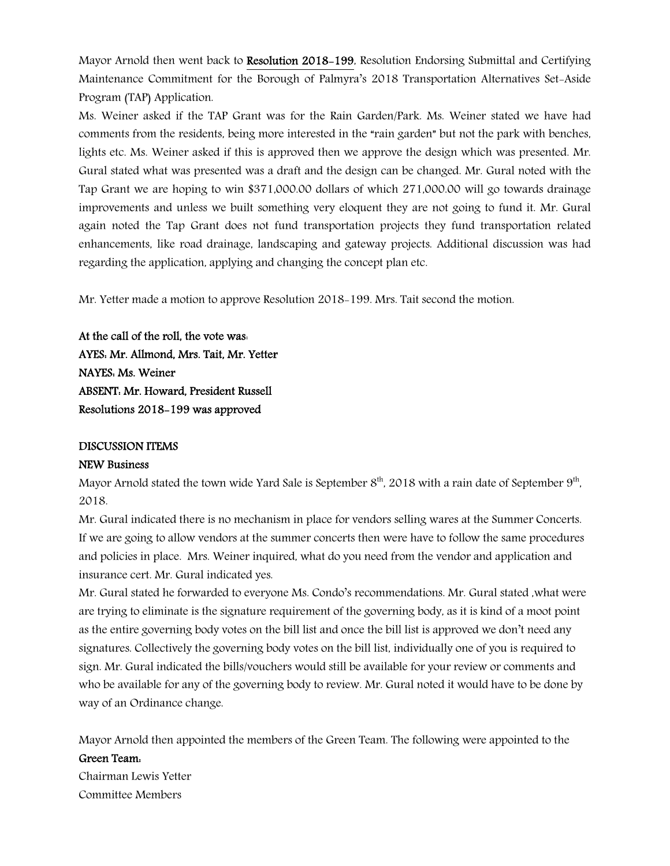Mayor Arnold then went back to Resolution 2018-199, Resolution Endorsing Submittal and Certifying Maintenance Commitment for the Borough of Palmyra's 2018 Transportation Alternatives Set-Aside Program (TAP) Application.

Ms. Weiner asked if the TAP Grant was for the Rain Garden/Park. Ms. Weiner stated we have had comments from the residents, being more interested in the "rain garden" but not the park with benches, lights etc. Ms. Weiner asked if this is approved then we approve the design which was presented. Mr. Gural stated what was presented was a draft and the design can be changed. Mr. Gural noted with the Tap Grant we are hoping to win \$371,000.00 dollars of which 271,000.00 will go towards drainage improvements and unless we built something very eloquent they are not going to fund it. Mr. Gural again noted the Tap Grant does not fund transportation projects they fund transportation related enhancements, like road drainage, landscaping and gateway projects. Additional discussion was had regarding the application, applying and changing the concept plan etc.

Mr. Yetter made a motion to approve Resolution 2018-199. Mrs. Tait second the motion.

At the call of the roll, the vote was: AYES: Mr. Allmond, Mrs. Tait, Mr. Yetter NAYES: Ms. Weiner ABSENT: Mr. Howard, President Russell Resolutions 2018-199 was approved

## DISCUSSION ITEMS

## NEW Business

Mayor Arnold stated the town wide Yard Sale is September  $8<sup>th</sup>$ , 2018 with a rain date of September  $9<sup>th</sup>$ , 2018.

Mr. Gural indicated there is no mechanism in place for vendors selling wares at the Summer Concerts. If we are going to allow vendors at the summer concerts then were have to follow the same procedures and policies in place. Mrs. Weiner inquired, what do you need from the vendor and application and insurance cert. Mr. Gural indicated yes.

Mr. Gural stated he forwarded to everyone Ms. Condo's recommendations. Mr. Gural stated ,what were are trying to eliminate is the signature requirement of the governing body, as it is kind of a moot point as the entire governing body votes on the bill list and once the bill list is approved we don't need any signatures. Collectively the governing body votes on the bill list, individually one of you is required to sign. Mr. Gural indicated the bills/vouchers would still be available for your review or comments and who be available for any of the governing body to review. Mr. Gural noted it would have to be done by way of an Ordinance change.

Mayor Arnold then appointed the members of the Green Team. The following were appointed to the

## Green Team:

Chairman Lewis Yetter Committee Members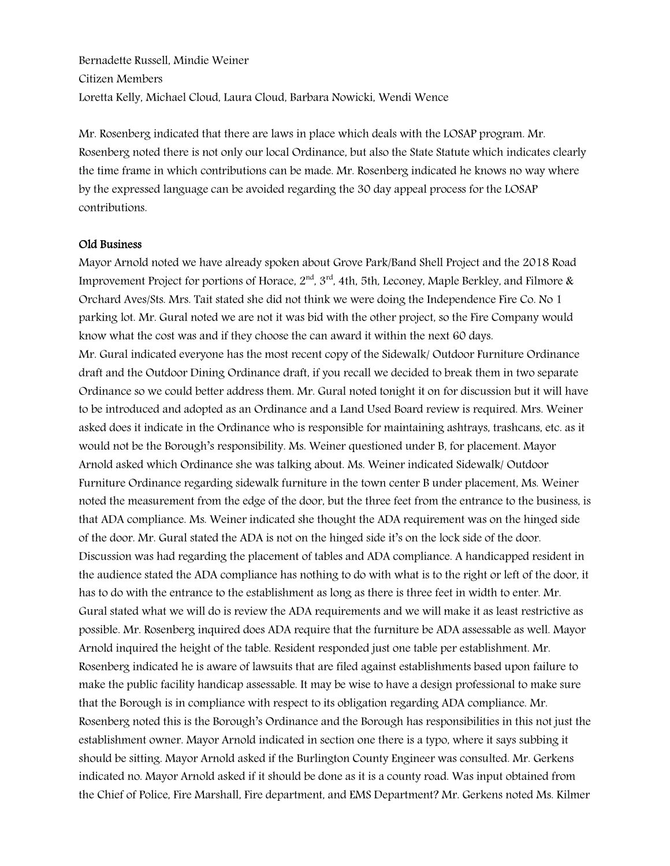Bernadette Russell, Mindie Weiner Citizen Members Loretta Kelly, Michael Cloud, Laura Cloud, Barbara Nowicki, Wendi Wence

Mr. Rosenberg indicated that there are laws in place which deals with the LOSAP program. Mr. Rosenberg noted there is not only our local Ordinance, but also the State Statute which indicates clearly the time frame in which contributions can be made. Mr. Rosenberg indicated he knows no way where by the expressed language can be avoided regarding the 30 day appeal process for the LOSAP contributions.

#### Old Business

Mayor Arnold noted we have already spoken about Grove Park/Band Shell Project and the 2018 Road Improvement Project for portions of Horace,  $2<sup>nd</sup>$ ,  $3<sup>rd</sup>$ , 4th, 5th, Leconey, Maple Berkley, and Filmore & Orchard Aves/Sts. Mrs. Tait stated she did not think we were doing the Independence Fire Co. No 1 parking lot. Mr. Gural noted we are not it was bid with the other project, so the Fire Company would know what the cost was and if they choose the can award it within the next 60 days. Mr. Gural indicated everyone has the most recent copy of the Sidewalk/ Outdoor Furniture Ordinance draft and the Outdoor Dining Ordinance draft, if you recall we decided to break them in two separate Ordinance so we could better address them. Mr. Gural noted tonight it on for discussion but it will have to be introduced and adopted as an Ordinance and a Land Used Board review is required. Mrs. Weiner asked does it indicate in the Ordinance who is responsible for maintaining ashtrays, trashcans, etc. as it would not be the Borough's responsibility. Ms. Weiner questioned under B, for placement. Mayor Arnold asked which Ordinance she was talking about. Ms. Weiner indicated Sidewalk/ Outdoor Furniture Ordinance regarding sidewalk furniture in the town center B under placement, Ms. Weiner noted the measurement from the edge of the door, but the three feet from the entrance to the business, is that ADA compliance. Ms. Weiner indicated she thought the ADA requirement was on the hinged side of the door. Mr. Gural stated the ADA is not on the hinged side it's on the lock side of the door. Discussion was had regarding the placement of tables and ADA compliance. A handicapped resident in the audience stated the ADA compliance has nothing to do with what is to the right or left of the door, it has to do with the entrance to the establishment as long as there is three feet in width to enter. Mr. Gural stated what we will do is review the ADA requirements and we will make it as least restrictive as possible. Mr. Rosenberg inquired does ADA require that the furniture be ADA assessable as well. Mayor Arnold inquired the height of the table. Resident responded just one table per establishment. Mr. Rosenberg indicated he is aware of lawsuits that are filed against establishments based upon failure to make the public facility handicap assessable. It may be wise to have a design professional to make sure that the Borough is in compliance with respect to its obligation regarding ADA compliance. Mr. Rosenberg noted this is the Borough's Ordinance and the Borough has responsibilities in this not just the establishment owner. Mayor Arnold indicated in section one there is a typo, where it says subbing it should be sitting. Mayor Arnold asked if the Burlington County Engineer was consulted. Mr. Gerkens indicated no. Mayor Arnold asked if it should be done as it is a county road. Was input obtained from the Chief of Police, Fire Marshall, Fire department, and EMS Department? Mr. Gerkens noted Ms. Kilmer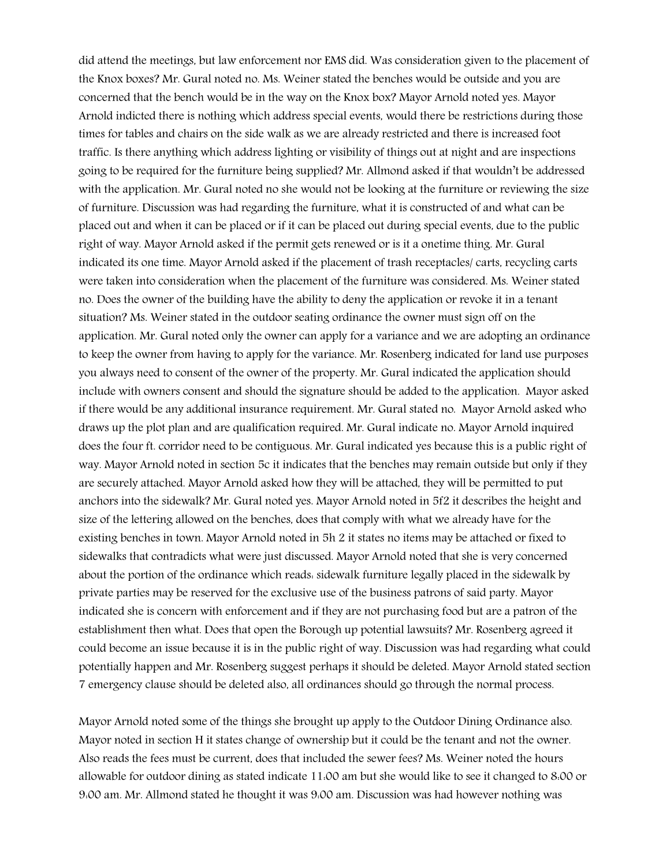did attend the meetings, but law enforcement nor EMS did. Was consideration given to the placement of the Knox boxes? Mr. Gural noted no. Ms. Weiner stated the benches would be outside and you are concerned that the bench would be in the way on the Knox box? Mayor Arnold noted yes. Mayor Arnold indicted there is nothing which address special events, would there be restrictions during those times for tables and chairs on the side walk as we are already restricted and there is increased foot traffic. Is there anything which address lighting or visibility of things out at night and are inspections going to be required for the furniture being supplied? Mr. Allmond asked if that wouldn't be addressed with the application. Mr. Gural noted no she would not be looking at the furniture or reviewing the size of furniture. Discussion was had regarding the furniture, what it is constructed of and what can be placed out and when it can be placed or if it can be placed out during special events, due to the public right of way. Mayor Arnold asked if the permit gets renewed or is it a onetime thing. Mr. Gural indicated its one time. Mayor Arnold asked if the placement of trash receptacles/ carts, recycling carts were taken into consideration when the placement of the furniture was considered. Ms. Weiner stated no. Does the owner of the building have the ability to deny the application or revoke it in a tenant situation? Ms. Weiner stated in the outdoor seating ordinance the owner must sign off on the application. Mr. Gural noted only the owner can apply for a variance and we are adopting an ordinance to keep the owner from having to apply for the variance. Mr. Rosenberg indicated for land use purposes you always need to consent of the owner of the property. Mr. Gural indicated the application should include with owners consent and should the signature should be added to the application. Mayor asked if there would be any additional insurance requirement. Mr. Gural stated no. Mayor Arnold asked who draws up the plot plan and are qualification required. Mr. Gural indicate no. Mayor Arnold inquired does the four ft. corridor need to be contiguous. Mr. Gural indicated yes because this is a public right of way. Mayor Arnold noted in section 5c it indicates that the benches may remain outside but only if they are securely attached. Mayor Arnold asked how they will be attached, they will be permitted to put anchors into the sidewalk? Mr. Gural noted yes. Mayor Arnold noted in 5f2 it describes the height and size of the lettering allowed on the benches, does that comply with what we already have for the existing benches in town. Mayor Arnold noted in 5h 2 it states no items may be attached or fixed to sidewalks that contradicts what were just discussed. Mayor Arnold noted that she is very concerned about the portion of the ordinance which reads: sidewalk furniture legally placed in the sidewalk by private parties may be reserved for the exclusive use of the business patrons of said party. Mayor indicated she is concern with enforcement and if they are not purchasing food but are a patron of the establishment then what. Does that open the Borough up potential lawsuits? Mr. Rosenberg agreed it could become an issue because it is in the public right of way. Discussion was had regarding what could potentially happen and Mr. Rosenberg suggest perhaps it should be deleted. Mayor Arnold stated section 7 emergency clause should be deleted also, all ordinances should go through the normal process.

Mayor Arnold noted some of the things she brought up apply to the Outdoor Dining Ordinance also. Mayor noted in section H it states change of ownership but it could be the tenant and not the owner. Also reads the fees must be current, does that included the sewer fees? Ms. Weiner noted the hours allowable for outdoor dining as stated indicate 11:00 am but she would like to see it changed to 8:00 or 9:00 am. Mr. Allmond stated he thought it was 9:00 am. Discussion was had however nothing was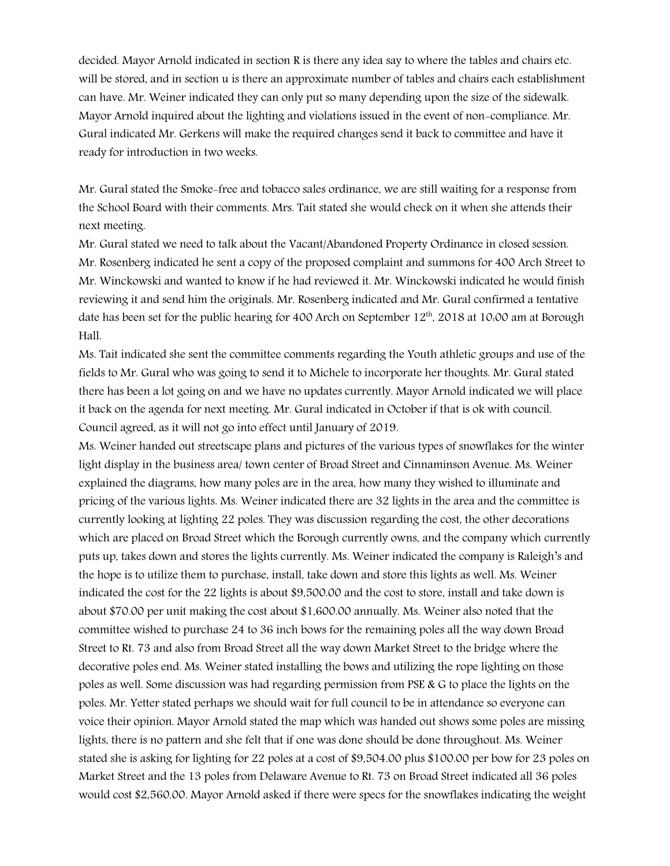decided. Mayor Arnold indicated in section R is there any idea say to where the tables and chairs etc. will be stored, and in section u is there an approximate number of tables and chairs each establishment can have. Mr. Weiner indicated they can only put so many depending upon the size of the sidewalk. Mayor Arnold inquired about the lighting and violations issued in the event of non-compliance. Mr. Gural indicated Mr. Gerkens will make the required changes send it back to committee and have it ready for introduction in two weeks.

Mr. Gural stated the Smoke-free and tobacco sales ordinance, we are still waiting for a response from the School Board with their comments. Mrs. Tait stated she would check on it when she attends their next meeting.

Mr. Gural stated we need to talk about the Vacant/Abandoned Property Ordinance in closed session. Mr. Rosenberg indicated he sent a copy of the proposed complaint and summons for 400 Arch Street to Mr. Winckowski and wanted to know if he had reviewed it. Mr. Winckowski indicated he would finish reviewing it and send him the originals. Mr. Rosenberg indicated and Mr. Gural confirmed a tentative date has been set for the public hearing for 400 Arch on September  $12<sup>th</sup>$ , 2018 at 10:00 am at Borough Hall.

Ms. Tait indicated she sent the committee comments regarding the Youth athletic groups and use of the fields to Mr. Gural who was going to send it to Michele to incorporate her thoughts. Mr. Gural stated there has been a lot going on and we have no updates currently. Mayor Arnold indicated we will place it back on the agenda for next meeting. Mr. Gural indicated in October if that is ok with council. Council agreed, as it will not go into effect until January of 2019.

Ms. Weiner handed out streetscape plans and pictures of the various types of snowflakes for the winter light display in the business area/ town center of Broad Street and Cinnaminson Avenue. Ms. Weiner explained the diagrams, how many poles are in the area, how many they wished to illuminate and pricing of the various lights. Ms. Weiner indicated there are 32 lights in the area and the committee is currently looking at lighting 22 poles. They was discussion regarding the cost, the other decorations which are placed on Broad Street which the Borough currently owns, and the company which currently puts up, takes down and stores the lights currently. Ms. Weiner indicated the company is Raleigh's and the hope is to utilize them to purchase, install, take down and store this lights as well. Ms. Weiner indicated the cost for the 22 lights is about \$9,500.00 and the cost to store, install and take down is about \$70.00 per unit making the cost about \$1,600.00 annually. Ms. Weiner also noted that the committee wished to purchase 24 to 36 inch bows for the remaining poles all the way down Broad Street to Rt. 73 and also from Broad Street all the way down Market Street to the bridge where the decorative poles end. Ms. Weiner stated installing the bows and utilizing the rope lighting on those poles as well. Some discussion was had regarding permission from PSE & G to place the lights on the poles. Mr. Yetter stated perhaps we should wait for full council to be in attendance so everyone can voice their opinion. Mayor Arnold stated the map which was handed out shows some poles are missing lights, there is no pattern and she felt that if one was done should be done throughout. Ms. Weiner stated she is asking for lighting for 22 poles at a cost of \$9,504.00 plus \$100.00 per bow for 23 poles on Market Street and the 13 poles from Delaware Avenue to Rt. 73 on Broad Street indicated all 36 poles would cost \$2,560.00. Mayor Arnold asked if there were specs for the snowflakes indicating the weight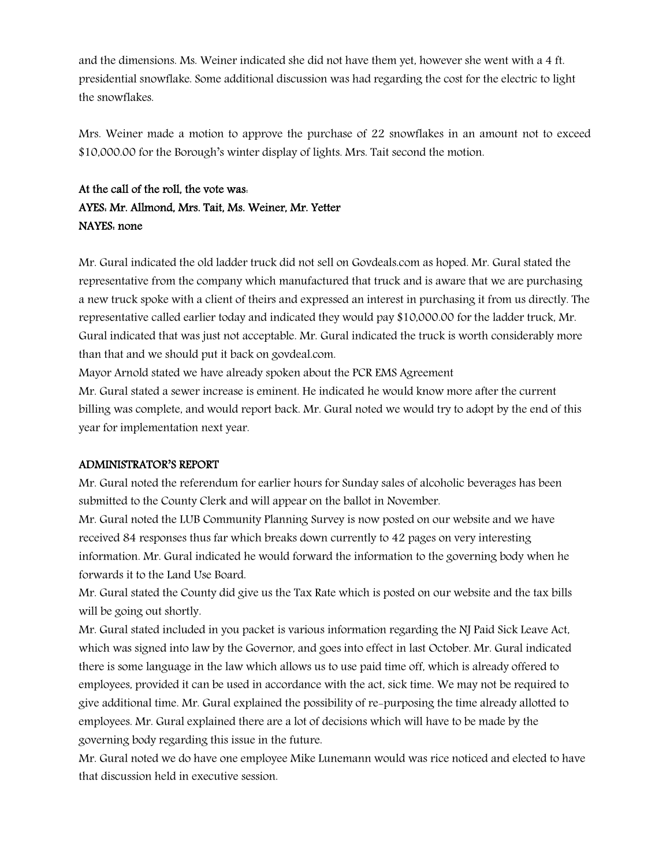and the dimensions. Ms. Weiner indicated she did not have them yet, however she went with a 4 ft. presidential snowflake. Some additional discussion was had regarding the cost for the electric to light the snowflakes.

Mrs. Weiner made a motion to approve the purchase of 22 snowflakes in an amount not to exceed \$10,000.00 for the Borough's winter display of lights. Mrs. Tait second the motion.

## At the call of the roll, the vote was: AYES: Mr. Allmond, Mrs. Tait, Ms. Weiner, Mr. Yetter NAYES: none

Mr. Gural indicated the old ladder truck did not sell on Govdeals.com as hoped. Mr. Gural stated the representative from the company which manufactured that truck and is aware that we are purchasing a new truck spoke with a client of theirs and expressed an interest in purchasing it from us directly. The representative called earlier today and indicated they would pay \$10,000.00 for the ladder truck, Mr. Gural indicated that was just not acceptable. Mr. Gural indicated the truck is worth considerably more than that and we should put it back on govdeal.com.

Mayor Arnold stated we have already spoken about the PCR EMS Agreement

Mr. Gural stated a sewer increase is eminent. He indicated he would know more after the current billing was complete, and would report back. Mr. Gural noted we would try to adopt by the end of this year for implementation next year.

## ADMINISTRATOR'S REPORT

Mr. Gural noted the referendum for earlier hours for Sunday sales of alcoholic beverages has been submitted to the County Clerk and will appear on the ballot in November.

Mr. Gural noted the LUB Community Planning Survey is now posted on our website and we have received 84 responses thus far which breaks down currently to 42 pages on very interesting information. Mr. Gural indicated he would forward the information to the governing body when he forwards it to the Land Use Board.

Mr. Gural stated the County did give us the Tax Rate which is posted on our website and the tax bills will be going out shortly.

Mr. Gural stated included in you packet is various information regarding the NJ Paid Sick Leave Act, which was signed into law by the Governor, and goes into effect in last October. Mr. Gural indicated there is some language in the law which allows us to use paid time off, which is already offered to employees, provided it can be used in accordance with the act, sick time. We may not be required to give additional time. Mr. Gural explained the possibility of re-purposing the time already allotted to employees. Mr. Gural explained there are a lot of decisions which will have to be made by the governing body regarding this issue in the future.

Mr. Gural noted we do have one employee Mike Lunemann would was rice noticed and elected to have that discussion held in executive session.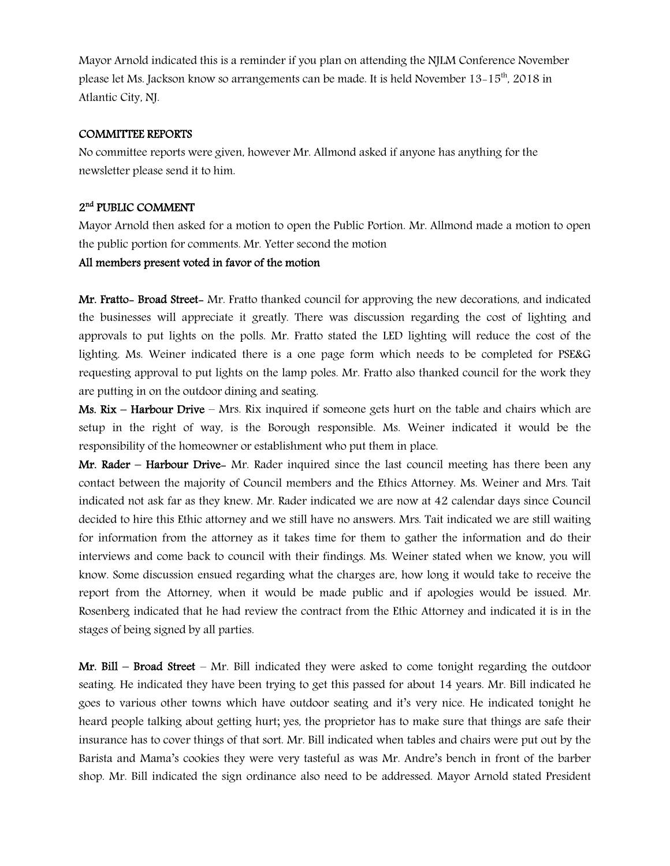Mayor Arnold indicated this is a reminder if you plan on attending the NJLM Conference November please let Ms. Jackson know so arrangements can be made. It is held November 13–15<sup>th</sup>, 2018 in Atlantic City, NJ.

#### COMMITTEE REPORTS

No committee reports were given, however Mr. Allmond asked if anyone has anything for the newsletter please send it to him.

## 2<sup>nd</sup> PUBLIC COMMENT

Mayor Arnold then asked for a motion to open the Public Portion. Mr. Allmond made a motion to open the public portion for comments. Mr. Yetter second the motion

## All members present voted in favor of the motion

Mr. Fratto- Broad Street- Mr. Fratto thanked council for approving the new decorations, and indicated the businesses will appreciate it greatly. There was discussion regarding the cost of lighting and approvals to put lights on the polls. Mr. Fratto stated the LED lighting will reduce the cost of the lighting. Ms. Weiner indicated there is a one page form which needs to be completed for PSE&G requesting approval to put lights on the lamp poles. Mr. Fratto also thanked council for the work they are putting in on the outdoor dining and seating.

Ms. Rix – Harbour Drive – Mrs. Rix inquired if someone gets hurt on the table and chairs which are setup in the right of way, is the Borough responsible. Ms. Weiner indicated it would be the responsibility of the homeowner or establishment who put them in place.

Mr. Rader – Harbour Drive– Mr. Rader inquired since the last council meeting has there been any contact between the majority of Council members and the Ethics Attorney. Ms. Weiner and Mrs. Tait indicated not ask far as they knew. Mr. Rader indicated we are now at 42 calendar days since Council decided to hire this Ethic attorney and we still have no answers. Mrs. Tait indicated we are still waiting for information from the attorney as it takes time for them to gather the information and do their interviews and come back to council with their findings. Ms. Weiner stated when we know, you will know. Some discussion ensued regarding what the charges are, how long it would take to receive the report from the Attorney, when it would be made public and if apologies would be issued. Mr. Rosenberg indicated that he had review the contract from the Ethic Attorney and indicated it is in the stages of being signed by all parties.

**Mr. Bill – Broad Street –** Mr. Bill indicated they were asked to come tonight regarding the outdoor seating. He indicated they have been trying to get this passed for about 14 years. Mr. Bill indicated he goes to various other towns which have outdoor seating and it's very nice. He indicated tonight he heard people talking about getting hurt; yes, the proprietor has to make sure that things are safe their insurance has to cover things of that sort. Mr. Bill indicated when tables and chairs were put out by the Barista and Mama's cookies they were very tasteful as was Mr. Andre's bench in front of the barber shop. Mr. Bill indicated the sign ordinance also need to be addressed. Mayor Arnold stated President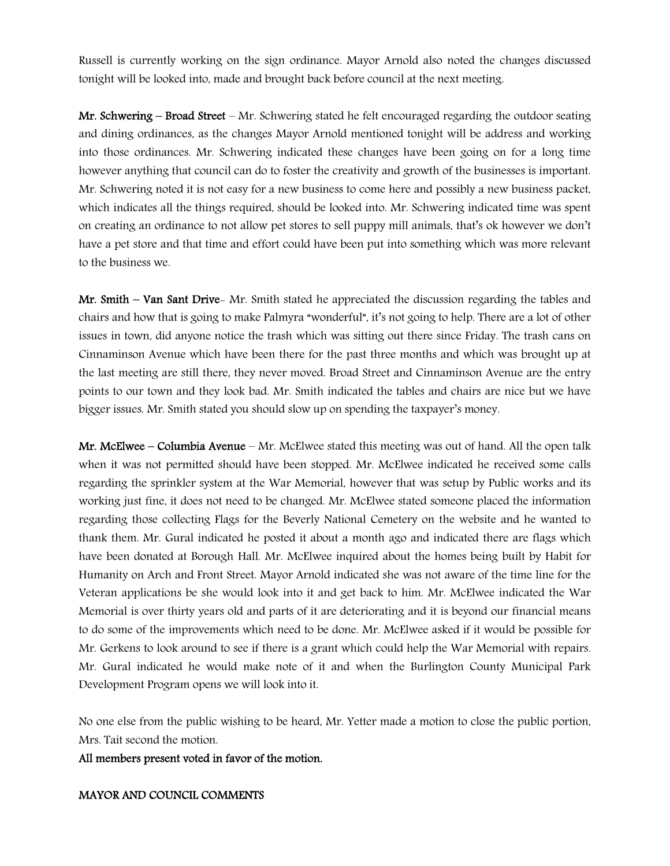Russell is currently working on the sign ordinance. Mayor Arnold also noted the changes discussed tonight will be looked into, made and brought back before council at the next meeting.

Mr. Schwering – Broad Street – Mr. Schwering stated he felt encouraged regarding the outdoor seating and dining ordinances, as the changes Mayor Arnold mentioned tonight will be address and working into those ordinances. Mr. Schwering indicated these changes have been going on for a long time however anything that council can do to foster the creativity and growth of the businesses is important. Mr. Schwering noted it is not easy for a new business to come here and possibly a new business packet, which indicates all the things required, should be looked into. Mr. Schwering indicated time was spent on creating an ordinance to not allow pet stores to sell puppy mill animals, that's ok however we don't have a pet store and that time and effort could have been put into something which was more relevant to the business we.

Mr. Smith – Van Sant Drive- Mr. Smith stated he appreciated the discussion regarding the tables and chairs and how that is going to make Palmyra "wonderful", it's not going to help. There are a lot of other issues in town, did anyone notice the trash which was sitting out there since Friday. The trash cans on Cinnaminson Avenue which have been there for the past three months and which was brought up at the last meeting are still there, they never moved. Broad Street and Cinnaminson Avenue are the entry points to our town and they look bad. Mr. Smith indicated the tables and chairs are nice but we have bigger issues. Mr. Smith stated you should slow up on spending the taxpayer's money.

Mr. McElwee – Columbia Avenue – Mr. McElwee stated this meeting was out of hand. All the open talk when it was not permitted should have been stopped. Mr. McElwee indicated he received some calls regarding the sprinkler system at the War Memorial, however that was setup by Public works and its working just fine, it does not need to be changed. Mr. McElwee stated someone placed the information regarding those collecting Flags for the Beverly National Cemetery on the website and he wanted to thank them. Mr. Gural indicated he posted it about a month ago and indicated there are flags which have been donated at Borough Hall. Mr. McElwee inquired about the homes being built by Habit for Humanity on Arch and Front Street. Mayor Arnold indicated she was not aware of the time line for the Veteran applications be she would look into it and get back to him. Mr. McElwee indicated the War Memorial is over thirty years old and parts of it are deteriorating and it is beyond our financial means to do some of the improvements which need to be done. Mr. McElwee asked if it would be possible for Mr. Gerkens to look around to see if there is a grant which could help the War Memorial with repairs. Mr. Gural indicated he would make note of it and when the Burlington County Municipal Park Development Program opens we will look into it.

No one else from the public wishing to be heard, Mr. Yetter made a motion to close the public portion, Mrs. Tait second the motion.

All members present voted in favor of the motion.

## MAYOR AND COUNCIL COMMENTS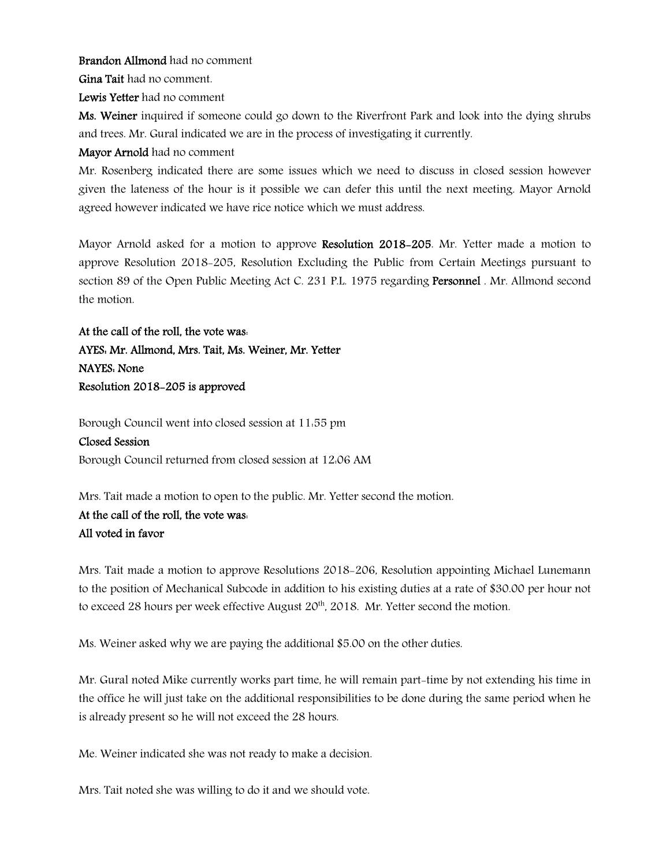Brandon Allmond had no comment

Gina Tait had no comment.

Lewis Yetter had no comment

Ms. Weiner inquired if someone could go down to the Riverfront Park and look into the dying shrubs and trees. Mr. Gural indicated we are in the process of investigating it currently.

Mayor Arnold had no comment

Mr. Rosenberg indicated there are some issues which we need to discuss in closed session however given the lateness of the hour is it possible we can defer this until the next meeting. Mayor Arnold agreed however indicated we have rice notice which we must address.

Mayor Arnold asked for a motion to approve Resolution 2018-205. Mr. Yetter made a motion to approve Resolution 2018-205, Resolution Excluding the Public from Certain Meetings pursuant to section 89 of the Open Public Meeting Act C. 231 P.L. 1975 regarding Personnel . Mr. Allmond second the motion.

At the call of the roll, the vote was:

## AYES: Mr. Allmond, Mrs. Tait, Ms. Weiner, Mr. Yetter NAYES: None

Resolution 2018-205 is approved

Borough Council went into closed session at 11:55 pm Closed Session

Borough Council returned from closed session at 12:06 AM

Mrs. Tait made a motion to open to the public. Mr. Yetter second the motion.

## At the call of the roll, the vote was: All voted in favor

Mrs. Tait made a motion to approve Resolutions 2018-206, Resolution appointing Michael Lunemann to the position of Mechanical Subcode in addition to his existing duties at a rate of \$30.00 per hour not to exceed 28 hours per week effective August 20<sup>th</sup>, 2018. Mr. Yetter second the motion.

Ms. Weiner asked why we are paying the additional \$5.00 on the other duties.

Mr. Gural noted Mike currently works part time, he will remain part-time by not extending his time in the office he will just take on the additional responsibilities to be done during the same period when he is already present so he will not exceed the 28 hours.

Me. Weiner indicated she was not ready to make a decision.

Mrs. Tait noted she was willing to do it and we should vote.